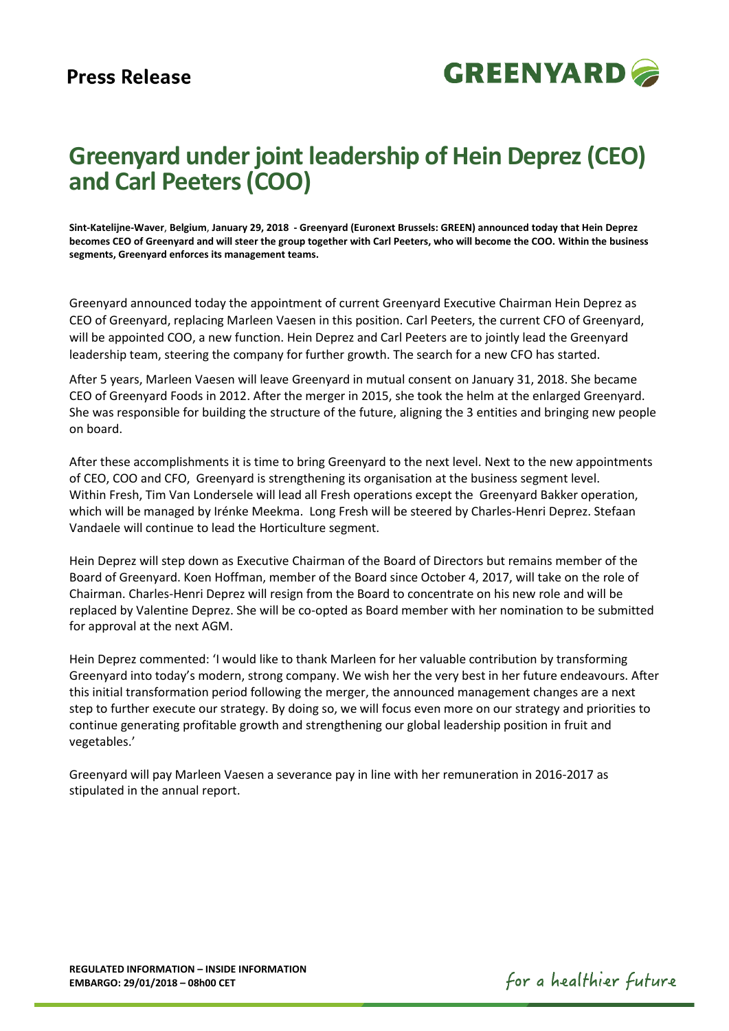

# **Greenyard under joint leadership of Hein Deprez (CEO) and Carl Peeters (COO)**

**Sint-Katelijne-Waver**, **Belgium**, **January 29, 2018 - Greenyard (Euronext Brussels: GREEN) announced today that Hein Deprez becomes CEO of Greenyard and will steer the group together with Carl Peeters, who will become the COO. Within the business segments, Greenyard enforces its management teams.** 

Greenyard announced today the appointment of current Greenyard Executive Chairman Hein Deprez as CEO of Greenyard, replacing Marleen Vaesen in this position. Carl Peeters, the current CFO of Greenyard, will be appointed COO, a new function. Hein Deprez and Carl Peeters are to jointly lead the Greenyard leadership team, steering the company for further growth. The search for a new CFO has started.

After 5 years, Marleen Vaesen will leave Greenyard in mutual consent on January 31, 2018. She became CEO of Greenyard Foods in 2012. After the merger in 2015, she took the helm at the enlarged Greenyard. She was responsible for building the structure of the future, aligning the 3 entities and bringing new people on board.

After these accomplishments it is time to bring Greenyard to the next level. Next to the new appointments of CEO, COO and CFO, Greenyard is strengthening its organisation at the business segment level. Within Fresh, Tim Van Londersele will lead all Fresh operations except the Greenyard Bakker operation, which will be managed by Irénke Meekma. Long Fresh will be steered by Charles-Henri Deprez. Stefaan Vandaele will continue to lead the Horticulture segment.

Hein Deprez will step down as Executive Chairman of the Board of Directors but remains member of the Board of Greenyard. Koen Hoffman, member of the Board since October 4, 2017, will take on the role of Chairman. Charles-Henri Deprez will resign from the Board to concentrate on his new role and will be replaced by Valentine Deprez. She will be co-opted as Board member with her nomination to be submitted for approval at the next AGM.

Hein Deprez commented: 'I would like to thank Marleen for her valuable contribution by transforming Greenyard into today's modern, strong company. We wish her the very best in her future endeavours. After this initial transformation period following the merger, the announced management changes are a next step to further execute our strategy. By doing so, we will focus even more on our strategy and priorities to continue generating profitable growth and strengthening our global leadership position in fruit and vegetables.'

Greenyard will pay Marleen Vaesen a severance pay in line with her remuneration in 2016-2017 as stipulated in the annual report.

for a healthier future